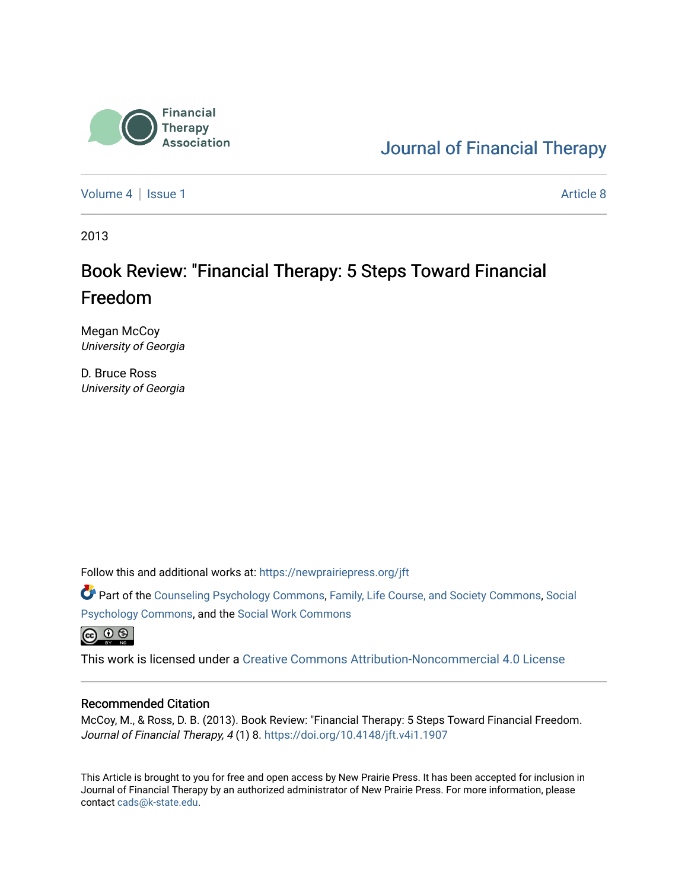

### [Journal of Financial Therapy](https://newprairiepress.org/jft)

[Volume 4](https://newprairiepress.org/jft/vol4) | [Issue 1](https://newprairiepress.org/jft/vol4/iss1) Article 8

2013

# Book Review: "Financial Therapy: 5 Steps Toward Financial Freedom

Megan McCoy University of Georgia

D. Bruce Ross University of Georgia

Follow this and additional works at: [https://newprairiepress.org/jft](https://newprairiepress.org/jft?utm_source=newprairiepress.org%2Fjft%2Fvol4%2Fiss1%2F8&utm_medium=PDF&utm_campaign=PDFCoverPages)

Part of the [Counseling Psychology Commons](http://network.bepress.com/hgg/discipline/1044?utm_source=newprairiepress.org%2Fjft%2Fvol4%2Fiss1%2F8&utm_medium=PDF&utm_campaign=PDFCoverPages), [Family, Life Course, and Society Commons,](http://network.bepress.com/hgg/discipline/419?utm_source=newprairiepress.org%2Fjft%2Fvol4%2Fiss1%2F8&utm_medium=PDF&utm_campaign=PDFCoverPages) [Social](http://network.bepress.com/hgg/discipline/414?utm_source=newprairiepress.org%2Fjft%2Fvol4%2Fiss1%2F8&utm_medium=PDF&utm_campaign=PDFCoverPages) [Psychology Commons,](http://network.bepress.com/hgg/discipline/414?utm_source=newprairiepress.org%2Fjft%2Fvol4%2Fiss1%2F8&utm_medium=PDF&utm_campaign=PDFCoverPages) and the [Social Work Commons](http://network.bepress.com/hgg/discipline/713?utm_source=newprairiepress.org%2Fjft%2Fvol4%2Fiss1%2F8&utm_medium=PDF&utm_campaign=PDFCoverPages) 

 $\circledcirc$   $\circledcirc$ 

This work is licensed under a [Creative Commons Attribution-Noncommercial 4.0 License](https://creativecommons.org/licenses/by-nc/4.0/)

#### Recommended Citation

McCoy, M., & Ross, D. B. (2013). Book Review: "Financial Therapy: 5 Steps Toward Financial Freedom. Journal of Financial Therapy, 4 (1) 8.<https://doi.org/10.4148/jft.v4i1.1907>

This Article is brought to you for free and open access by New Prairie Press. It has been accepted for inclusion in Journal of Financial Therapy by an authorized administrator of New Prairie Press. For more information, please contact [cads@k-state.edu](mailto:cads@k-state.edu).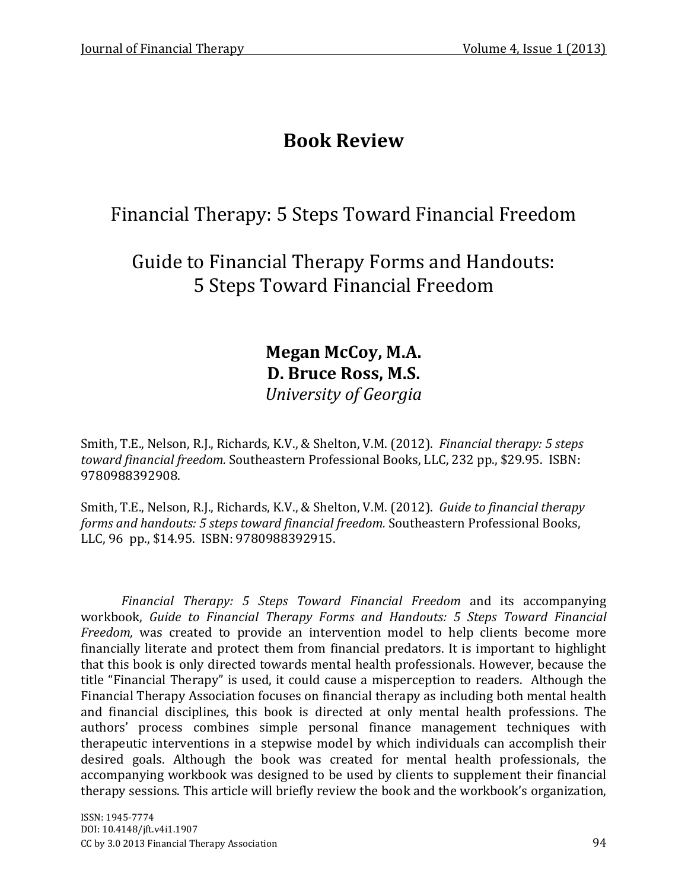# **Book Review**

## Financial Therapy: 5 Steps Toward Financial Freedom

Guide to Financial Therapy Forms and Handouts: 5 Steps Toward Financial Freedom

> **Megan McCoy, M.A. D. Bruce Ross, M.S.** *University of Georgia*

Smith, T.E., Nelson, R.J., Richards, K.V., & Shelton, V.M. (2012). *Financial therapy: 5 steps toward financial freedom.* Southeastern Professional Books, LLC, 232 pp., \$29.95. ISBN: 9780988392908.

Smith, T.E., Nelson, R.J., Richards, K.V., & Shelton, V.M. (2012). *Guide to financial therapy forms and handouts: 5 steps toward financial freedom.* Southeastern Professional Books, LLC, 96 pp., \$14.95. ISBN: 9780988392915.

*Financial Therapy: 5 Steps Toward Financial Freedom* and its accompanying workbook, *Guide to Financial Therapy Forms and Handouts: 5 Steps Toward Financial Freedom,* was created to provide an intervention model to help clients become more financially literate and protect them from financial predators. It is important to highlight that this book is only directed towards mental health professionals. However, because the title "Financial Therapy" is used, it could cause a misperception to readers. Although the Financial Therapy Association focuses on financial therapy as including both mental health and financial disciplines, this book is directed at only mental health professions. The authors' process combines simple personal finance management techniques with therapeutic interventions in a stepwise model by which individuals can accomplish their desired goals. Although the book was created for mental health professionals, the accompanying workbook was designed to be used by clients to supplement their financial therapy sessions. This article will briefly review the book and the workbook's organization,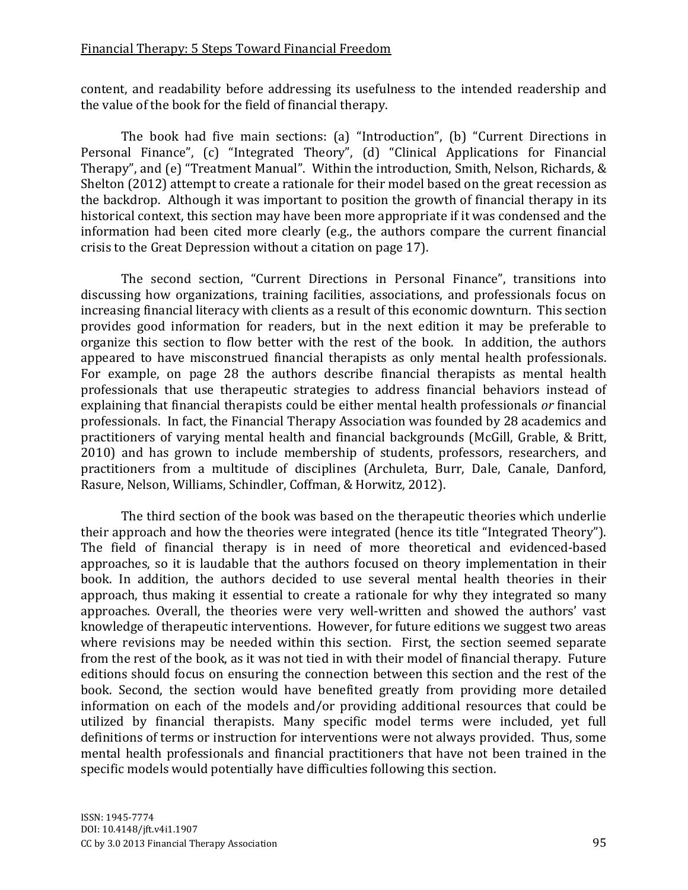### Financial Therapy: 5 Steps Toward Financial Freedom

content, and readability before addressing its usefulness to the intended readership and the value of the book for the field of financial therapy.

The book had five main sections: (a) "Introduction", (b) "Current Directions in Personal Finance", (c) "Integrated Theory", (d) "Clinical Applications for Financial Therapy", and (e) "Treatment Manual". Within the introduction, Smith, Nelson, Richards, & Shelton (2012) attempt to create a rationale for their model based on the great recession as the backdrop. Although it was important to position the growth of financial therapy in its historical context, this section may have been more appropriate if it was condensed and the information had been cited more clearly (e.g., the authors compare the current financial crisis to the Great Depression without a citation on page 17).

The second section, "Current Directions in Personal Finance", transitions into discussing how organizations, training facilities, associations, and professionals focus on increasing financial literacy with clients as a result of this economic downturn. This section provides good information for readers, but in the next edition it may be preferable to organize this section to flow better with the rest of the book. In addition, the authors appeared to have misconstrued financial therapists as only mental health professionals. For example, on page 28 the authors describe financial therapists as mental health professionals that use therapeutic strategies to address financial behaviors instead of explaining that financial therapists could be either mental health professionals *or* financial professionals. In fact, the Financial Therapy Association was founded by 28 academics and practitioners of varying mental health and financial backgrounds (McGill, Grable, & Britt, 2010) and has grown to include membership of students, professors, researchers, and practitioners from a multitude of disciplines (Archuleta, Burr, Dale, Canale, Danford, Rasure, Nelson, Williams, Schindler, Coffman, & Horwitz, 2012).

The third section of the book was based on the therapeutic theories which underlie their approach and how the theories were integrated (hence its title "Integrated Theory"). The field of financial therapy is in need of more theoretical and evidenced-based approaches, so it is laudable that the authors focused on theory implementation in their book. In addition, the authors decided to use several mental health theories in their approach, thus making it essential to create a rationale for why they integrated so many approaches. Overall, the theories were very well-written and showed the authors' vast knowledge of therapeutic interventions. However, for future editions we suggest two areas where revisions may be needed within this section. First, the section seemed separate from the rest of the book, as it was not tied in with their model of financial therapy. Future editions should focus on ensuring the connection between this section and the rest of the book. Second, the section would have benefited greatly from providing more detailed information on each of the models and/or providing additional resources that could be utilized by financial therapists. Many specific model terms were included, yet full definitions of terms or instruction for interventions were not always provided. Thus, some mental health professionals and financial practitioners that have not been trained in the specific models would potentially have difficulties following this section.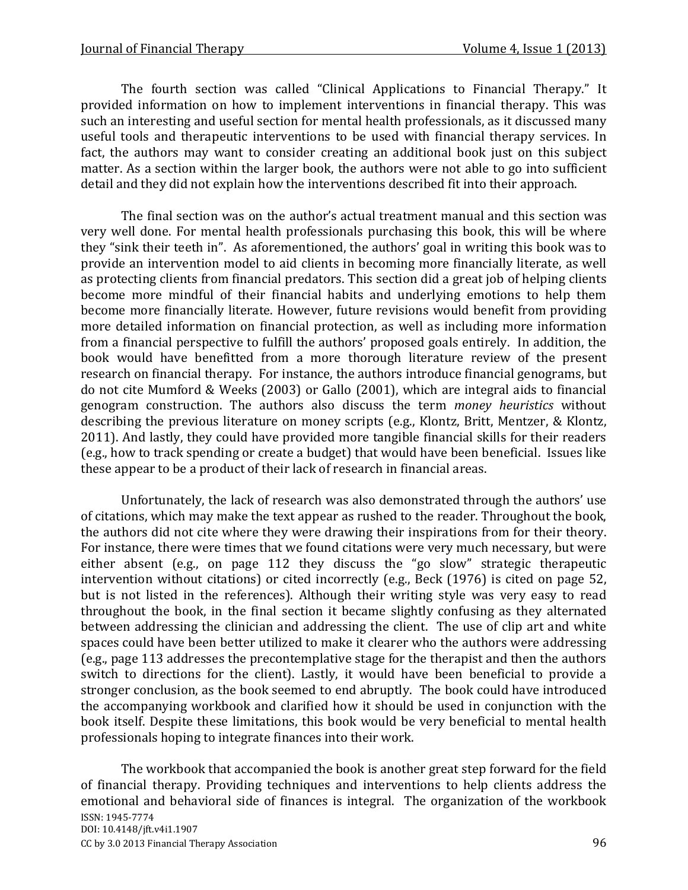The fourth section was called "Clinical Applications to Financial Therapy." It provided information on how to implement interventions in financial therapy. This was such an interesting and useful section for mental health professionals, as it discussed many useful tools and therapeutic interventions to be used with financial therapy services. In fact, the authors may want to consider creating an additional book just on this subject matter. As a section within the larger book, the authors were not able to go into sufficient detail and they did not explain how the interventions described fit into their approach.

The final section was on the author's actual treatment manual and this section was very well done. For mental health professionals purchasing this book, this will be where they "sink their teeth in". As aforementioned, the authors' goal in writing this book was to provide an intervention model to aid clients in becoming more financially literate, as well as protecting clients from financial predators. This section did a great job of helping clients become more mindful of their financial habits and underlying emotions to help them become more financially literate. However, future revisions would benefit from providing more detailed information on financial protection, as well as including more information from a financial perspective to fulfill the authors' proposed goals entirely. In addition, the book would have benefitted from a more thorough literature review of the present research on financial therapy. For instance, the authors introduce financial genograms, but do not cite Mumford & Weeks (2003) or Gallo (2001), which are integral aids to financial genogram construction. The authors also discuss the term *money heuristics* without describing the previous literature on money scripts (e.g., Klontz, Britt, Mentzer, & Klontz, 2011). And lastly, they could have provided more tangible financial skills for their readers (e.g., how to track spending or create a budget) that would have been beneficial. Issues like these appear to be a product of their lack of research in financial areas.

Unfortunately, the lack of research was also demonstrated through the authors' use of citations, which may make the text appear as rushed to the reader. Throughout the book, the authors did not cite where they were drawing their inspirations from for their theory. For instance, there were times that we found citations were very much necessary, but were either absent (e.g., on page 112 they discuss the "go slow" strategic therapeutic intervention without citations) or cited incorrectly (e.g., Beck (1976) is cited on page 52, but is not listed in the references). Although their writing style was very easy to read throughout the book, in the final section it became slightly confusing as they alternated between addressing the clinician and addressing the client. The use of clip art and white spaces could have been better utilized to make it clearer who the authors were addressing (e.g., page 113 addresses the precontemplative stage for the therapist and then the authors switch to directions for the client). Lastly, it would have been beneficial to provide a stronger conclusion, as the book seemed to end abruptly. The book could have introduced the accompanying workbook and clarified how it should be used in conjunction with the book itself. Despite these limitations, this book would be very beneficial to mental health professionals hoping to integrate finances into their work.

ISSN: 1945-7774 DOI: 10.4148/jft.v4i1.1907 CC by 3.0 2013 Financial Therapy Association 96 The workbook that accompanied the book is another great step forward for the field of financial therapy. Providing techniques and interventions to help clients address the emotional and behavioral side of finances is integral. The organization of the workbook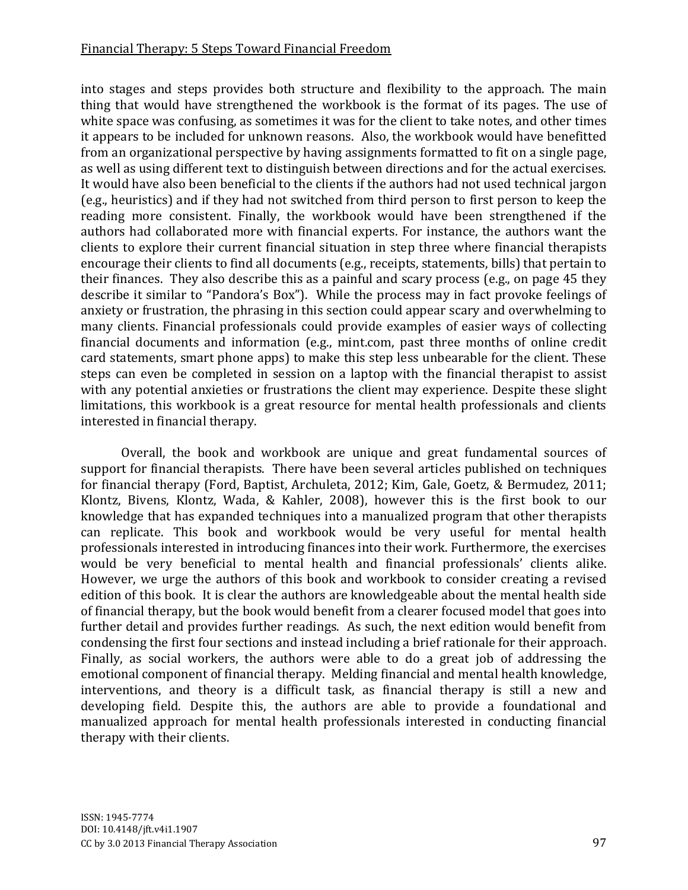### Financial Therapy: 5 Steps Toward Financial Freedom

into stages and steps provides both structure and flexibility to the approach. The main thing that would have strengthened the workbook is the format of its pages. The use of white space was confusing, as sometimes it was for the client to take notes, and other times it appears to be included for unknown reasons. Also, the workbook would have benefitted from an organizational perspective by having assignments formatted to fit on a single page, as well as using different text to distinguish between directions and for the actual exercises. It would have also been beneficial to the clients if the authors had not used technical jargon (e.g., heuristics) and if they had not switched from third person to first person to keep the reading more consistent. Finally, the workbook would have been strengthened if the authors had collaborated more with financial experts. For instance, the authors want the clients to explore their current financial situation in step three where financial therapists encourage their clients to find all documents (e.g., receipts, statements, bills) that pertain to their finances. They also describe this as a painful and scary process (e.g., on page 45 they describe it similar to "Pandora's Box"). While the process may in fact provoke feelings of anxiety or frustration, the phrasing in this section could appear scary and overwhelming to many clients. Financial professionals could provide examples of easier ways of collecting financial documents and information (e.g., mint.com, past three months of online credit card statements, smart phone apps) to make this step less unbearable for the client. These steps can even be completed in session on a laptop with the financial therapist to assist with any potential anxieties or frustrations the client may experience. Despite these slight limitations, this workbook is a great resource for mental health professionals and clients interested in financial therapy.

Overall, the book and workbook are unique and great fundamental sources of support for financial therapists. There have been several articles published on techniques for financial therapy (Ford, Baptist, Archuleta, 2012; Kim, Gale, Goetz, & Bermudez, 2011; Klontz, Bivens, Klontz, Wada, & Kahler, 2008), however this is the first book to our knowledge that has expanded techniques into a manualized program that other therapists can replicate. This book and workbook would be very useful for mental health professionals interested in introducing finances into their work. Furthermore, the exercises would be very beneficial to mental health and financial professionals' clients alike. However, we urge the authors of this book and workbook to consider creating a revised edition of this book. It is clear the authors are knowledgeable about the mental health side of financial therapy, but the book would benefit from a clearer focused model that goes into further detail and provides further readings. As such, the next edition would benefit from condensing the first four sections and instead including a brief rationale for their approach. Finally, as social workers, the authors were able to do a great job of addressing the emotional component of financial therapy. Melding financial and mental health knowledge, interventions, and theory is a difficult task, as financial therapy is still a new and developing field. Despite this, the authors are able to provide a foundational and manualized approach for mental health professionals interested in conducting financial therapy with their clients.